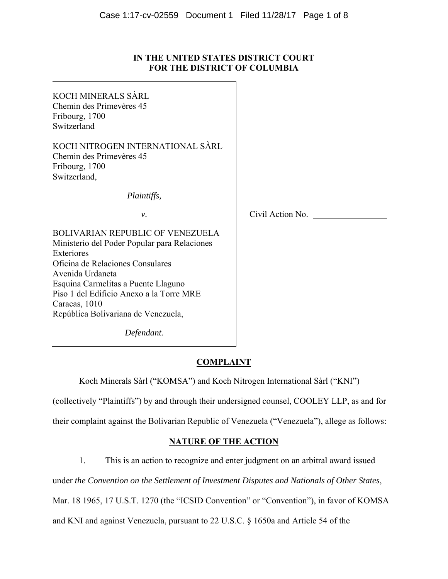## **IN THE UNITED STATES DISTRICT COURT FOR THE DISTRICT OF COLUMBIA**

| KOCH MINERALS SÀRL<br>Chemin des Primevères 45<br>Fribourg, 1700<br>Switzerland                                                                                                                                                                                                                          |                  |  |
|----------------------------------------------------------------------------------------------------------------------------------------------------------------------------------------------------------------------------------------------------------------------------------------------------------|------------------|--|
| KOCH NITROGEN INTERNATIONAL SÀRL<br>Chemin des Primevères 45<br>Fribourg, 1700<br>Switzerland,                                                                                                                                                                                                           |                  |  |
| Plaintiffs,                                                                                                                                                                                                                                                                                              |                  |  |
| ν.                                                                                                                                                                                                                                                                                                       | Civil Action No. |  |
| <b>BOLIVARIAN REPUBLIC OF VENEZUELA</b><br>Ministerio del Poder Popular para Relaciones<br>Exteriores<br>Oficina de Relaciones Consulares<br>Avenida Urdaneta<br>Esquina Carmelitas a Puente Llaguno<br>Piso 1 del Edificio Anexo a la Torre MRE<br>Caracas, 1010<br>República Bolivariana de Venezuela, |                  |  |
| Defendant.                                                                                                                                                                                                                                                                                               |                  |  |

# **COMPLAINT**

Koch Minerals Sàrl ("KOMSA") and Koch Nitrogen International Sàrl ("KNI")

(collectively "Plaintiffs") by and through their undersigned counsel, COOLEY LLP, as and for

their complaint against the Bolivarian Republic of Venezuela ("Venezuela"), allege as follows:

# **NATURE OF THE ACTION**

1. This is an action to recognize and enter judgment on an arbitral award issued

under *the Convention on the Settlement of Investment Disputes and Nationals of Other States*,

Mar. 18 1965, 17 U.S.T. 1270 (the "ICSID Convention" or "Convention"), in favor of KOMSA

and KNI and against Venezuela, pursuant to 22 U.S.C. § 1650a and Article 54 of the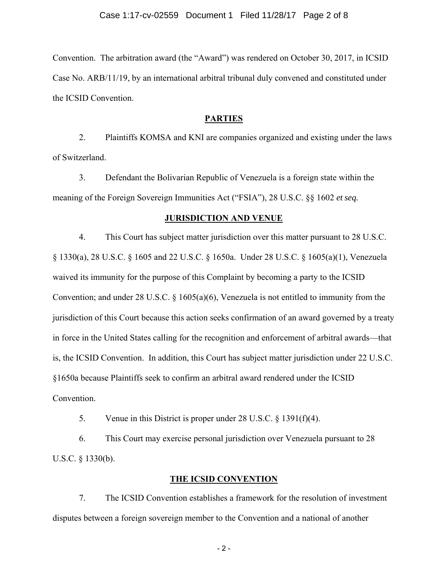Convention. The arbitration award (the "Award") was rendered on October 30, 2017, in ICSID Case No. ARB/11/19, by an international arbitral tribunal duly convened and constituted under the ICSID Convention.

#### **PARTIES**

2. Plaintiffs KOMSA and KNI are companies organized and existing under the laws of Switzerland.

3. Defendant the Bolivarian Republic of Venezuela is a foreign state within the meaning of the Foreign Sovereign Immunities Act ("FSIA"), 28 U.S.C. §§ 1602 *et seq.*

#### **JURISDICTION AND VENUE**

4. This Court has subject matter jurisdiction over this matter pursuant to 28 U.S.C. § 1330(a), 28 U.S.C. § 1605 and 22 U.S.C. § 1650a. Under 28 U.S.C. § 1605(a)(1), Venezuela waived its immunity for the purpose of this Complaint by becoming a party to the ICSID Convention; and under 28 U.S.C.  $\S$  1605(a)(6), Venezuela is not entitled to immunity from the jurisdiction of this Court because this action seeks confirmation of an award governed by a treaty in force in the United States calling for the recognition and enforcement of arbitral awards—that is, the ICSID Convention. In addition, this Court has subject matter jurisdiction under 22 U.S.C. §1650a because Plaintiffs seek to confirm an arbitral award rendered under the ICSID Convention.

5. Venue in this District is proper under 28 U.S.C. § 1391(f)(4).

6. This Court may exercise personal jurisdiction over Venezuela pursuant to 28 U.S.C. § 1330(b).

#### **THE ICSID CONVENTION**

7. The ICSID Convention establishes a framework for the resolution of investment disputes between a foreign sovereign member to the Convention and a national of another

- 2 -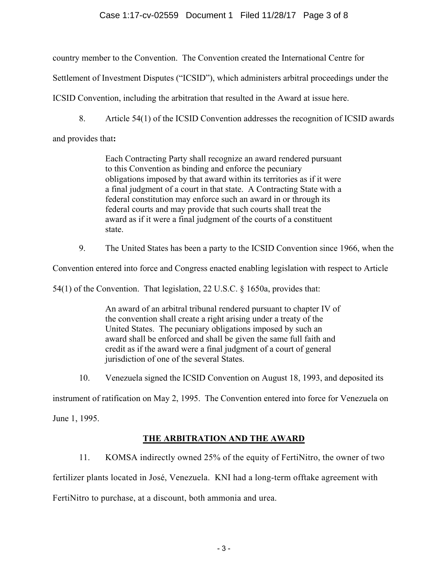## Case 1:17-cv-02559 Document 1 Filed 11/28/17 Page 3 of 8

country member to the Convention. The Convention created the International Centre for

Settlement of Investment Disputes ("ICSID"), which administers arbitral proceedings under the

ICSID Convention, including the arbitration that resulted in the Award at issue here.

8. Article 54(1) of the ICSID Convention addresses the recognition of ICSID awards

and provides that**:** 

Each Contracting Party shall recognize an award rendered pursuant to this Convention as binding and enforce the pecuniary obligations imposed by that award within its territories as if it were a final judgment of a court in that state. A Contracting State with a federal constitution may enforce such an award in or through its federal courts and may provide that such courts shall treat the award as if it were a final judgment of the courts of a constituent state.

9. The United States has been a party to the ICSID Convention since 1966, when the

Convention entered into force and Congress enacted enabling legislation with respect to Article

54(1) of the Convention. That legislation, 22 U.S.C. § 1650a, provides that:

An award of an arbitral tribunal rendered pursuant to chapter IV of the convention shall create a right arising under a treaty of the United States. The pecuniary obligations imposed by such an award shall be enforced and shall be given the same full faith and credit as if the award were a final judgment of a court of general jurisdiction of one of the several States.

10. Venezuela signed the ICSID Convention on August 18, 1993, and deposited its

instrument of ratification on May 2, 1995. The Convention entered into force for Venezuela on

June 1, 1995.

# **THE ARBITRATION AND THE AWARD**

11. KOMSA indirectly owned 25% of the equity of FertiNitro, the owner of two fertilizer plants located in José, Venezuela. KNI had a long-term offtake agreement with FertiNitro to purchase, at a discount, both ammonia and urea.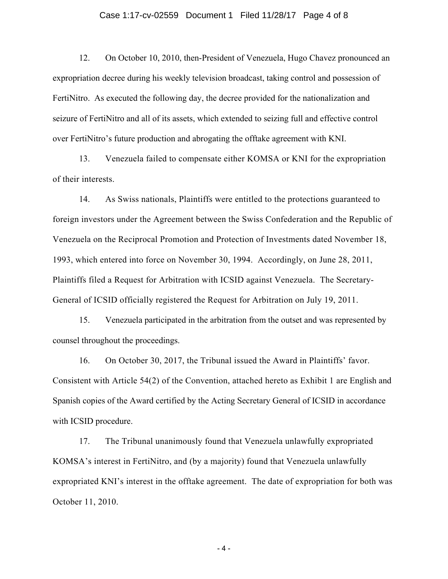#### Case 1:17-cv-02559 Document 1 Filed 11/28/17 Page 4 of 8

12. On October 10, 2010, then-President of Venezuela, Hugo Chavez pronounced an expropriation decree during his weekly television broadcast, taking control and possession of FertiNitro. As executed the following day, the decree provided for the nationalization and seizure of FertiNitro and all of its assets, which extended to seizing full and effective control over FertiNitro's future production and abrogating the offtake agreement with KNI.

13. Venezuela failed to compensate either KOMSA or KNI for the expropriation of their interests.

14. As Swiss nationals, Plaintiffs were entitled to the protections guaranteed to foreign investors under the Agreement between the Swiss Confederation and the Republic of Venezuela on the Reciprocal Promotion and Protection of Investments dated November 18, 1993, which entered into force on November 30, 1994. Accordingly, on June 28, 2011, Plaintiffs filed a Request for Arbitration with ICSID against Venezuela. The Secretary-General of ICSID officially registered the Request for Arbitration on July 19, 2011.

15. Venezuela participated in the arbitration from the outset and was represented by counsel throughout the proceedings.

16. On October 30, 2017, the Tribunal issued the Award in Plaintiffs' favor. Consistent with Article 54(2) of the Convention, attached hereto as Exhibit 1 are English and Spanish copies of the Award certified by the Acting Secretary General of ICSID in accordance with ICSID procedure.

17. The Tribunal unanimously found that Venezuela unlawfully expropriated KOMSA's interest in FertiNitro, and (by a majority) found that Venezuela unlawfully expropriated KNI's interest in the offtake agreement. The date of expropriation for both was October 11, 2010.

- 4 -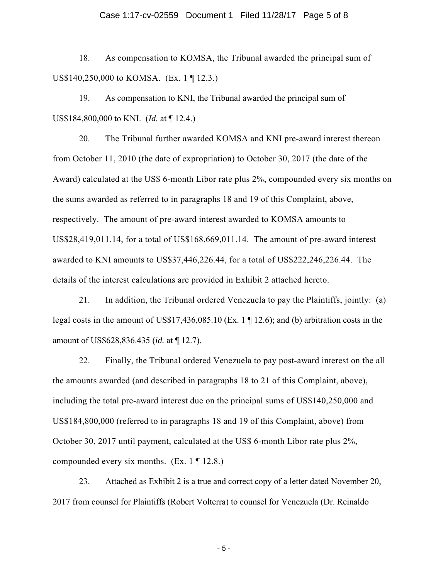#### Case 1:17-cv-02559 Document 1 Filed 11/28/17 Page 5 of 8

18. As compensation to KOMSA, the Tribunal awarded the principal sum of US\$140,250,000 to KOMSA. (Ex. 1 ¶ 12.3.)

19. As compensation to KNI, the Tribunal awarded the principal sum of US\$184,800,000 to KNI. (*Id.* at ¶ 12.4.)

20. The Tribunal further awarded KOMSA and KNI pre-award interest thereon from October 11, 2010 (the date of expropriation) to October 30, 2017 (the date of the Award) calculated at the US\$ 6-month Libor rate plus 2%, compounded every six months on the sums awarded as referred to in paragraphs 18 and 19 of this Complaint, above, respectively. The amount of pre-award interest awarded to KOMSA amounts to US\$28,419,011.14, for a total of US\$168,669,011.14. The amount of pre-award interest awarded to KNI amounts to US\$37,446,226.44, for a total of US\$222,246,226.44. The details of the interest calculations are provided in Exhibit 2 attached hereto.

21. In addition, the Tribunal ordered Venezuela to pay the Plaintiffs, jointly: (a) legal costs in the amount of US\$17,436,085.10 (Ex. 1 ¶ 12.6); and (b) arbitration costs in the amount of US\$628,836.435 (*id.* at ¶ 12.7).

22. Finally, the Tribunal ordered Venezuela to pay post-award interest on the all the amounts awarded (and described in paragraphs 18 to 21 of this Complaint, above), including the total pre-award interest due on the principal sums of US\$140,250,000 and US\$184,800,000 (referred to in paragraphs 18 and 19 of this Complaint, above) from October 30, 2017 until payment, calculated at the US\$ 6-month Libor rate plus 2%, compounded every six months. (Ex.  $1 \nvert 12.8$ .)

23. Attached as Exhibit 2 is a true and correct copy of a letter dated November 20, 2017 from counsel for Plaintiffs (Robert Volterra) to counsel for Venezuela (Dr. Reinaldo

- 5 -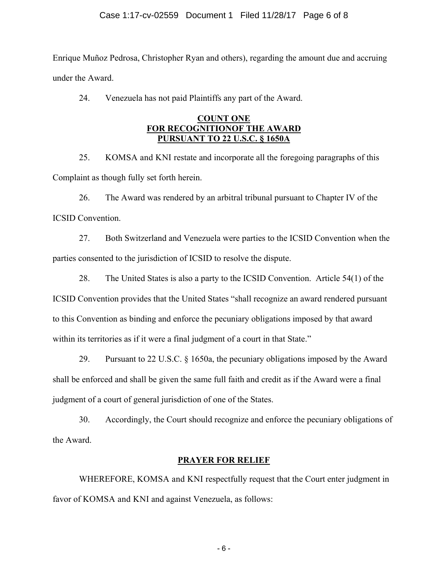Enrique Muñoz Pedrosa, Christopher Ryan and others), regarding the amount due and accruing under the Award.

24. Venezuela has not paid Plaintiffs any part of the Award.

## **COUNT ONE FOR RECOGNITIONOF THE AWARD PURSUANT TO 22 U.S.C. § 1650A**

25. KOMSA and KNI restate and incorporate all the foregoing paragraphs of this Complaint as though fully set forth herein.

26. The Award was rendered by an arbitral tribunal pursuant to Chapter IV of the ICSID Convention.

27. Both Switzerland and Venezuela were parties to the ICSID Convention when the parties consented to the jurisdiction of ICSID to resolve the dispute.

28. The United States is also a party to the ICSID Convention. Article 54(1) of the ICSID Convention provides that the United States "shall recognize an award rendered pursuant to this Convention as binding and enforce the pecuniary obligations imposed by that award within its territories as if it were a final judgment of a court in that State."

29. Pursuant to 22 U.S.C. § 1650a, the pecuniary obligations imposed by the Award shall be enforced and shall be given the same full faith and credit as if the Award were a final judgment of a court of general jurisdiction of one of the States.

30. Accordingly, the Court should recognize and enforce the pecuniary obligations of the Award.

# **PRAYER FOR RELIEF**

WHEREFORE, KOMSA and KNI respectfully request that the Court enter judgment in favor of KOMSA and KNI and against Venezuela, as follows: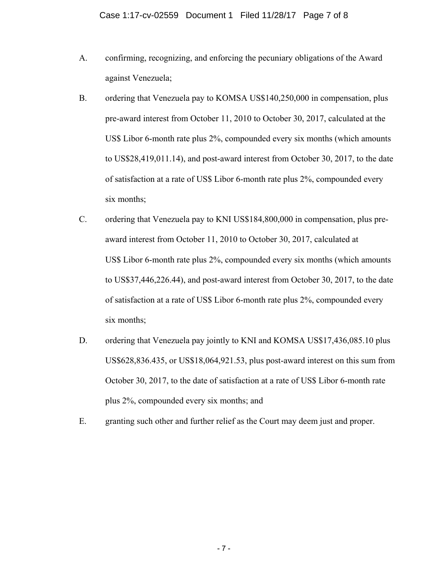- A. confirming, recognizing, and enforcing the pecuniary obligations of the Award against Venezuela;
- B. ordering that Venezuela pay to KOMSA US\$140,250,000 in compensation, plus pre-award interest from October 11, 2010 to October 30, 2017, calculated at the US\$ Libor 6-month rate plus 2%, compounded every six months (which amounts to US\$28,419,011.14), and post-award interest from October 30, 2017, to the date of satisfaction at a rate of US\$ Libor 6-month rate plus 2%, compounded every six months;
- C. ordering that Venezuela pay to KNI US\$184,800,000 in compensation, plus preaward interest from October 11, 2010 to October 30, 2017, calculated at US\$ Libor 6-month rate plus 2%, compounded every six months (which amounts to US\$37,446,226.44), and post-award interest from October 30, 2017, to the date of satisfaction at a rate of US\$ Libor 6-month rate plus 2%, compounded every six months;
- D. ordering that Venezuela pay jointly to KNI and KOMSA US\$17,436,085.10 plus US\$628,836.435, or US\$18,064,921.53, plus post-award interest on this sum from October 30, 2017, to the date of satisfaction at a rate of US\$ Libor 6-month rate plus 2%, compounded every six months; and
- E. granting such other and further relief as the Court may deem just and proper.